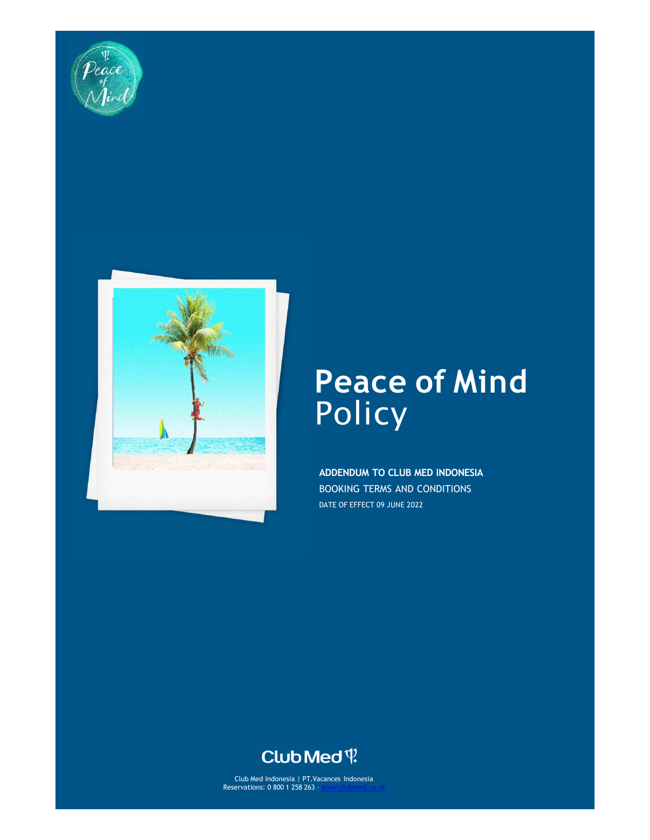



# **Peace of Mind Policy**

**ADDENDUM TO CLUB MED INDONESIA**  BOOKING TERMS AND CONDITIONS DATE OF EFFECT 09 JUNE 2022

# Club Med ?

Club Med Indonesia | PT.Vacances Indonesia Reservations: 0 800 1 258 263 – www.clubmed.co.id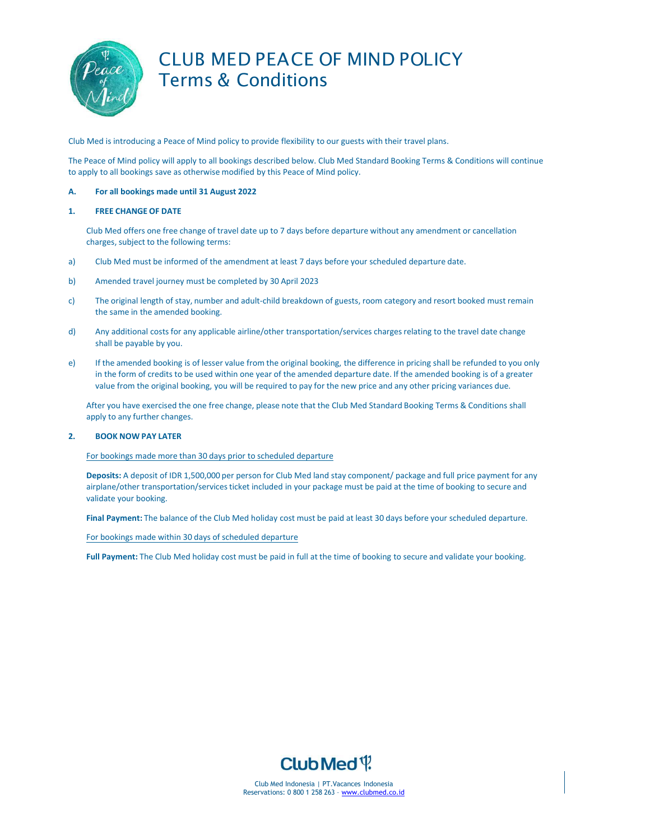

### CLUB MED PEACE OF MIND POLICY Terms & Conditions

Club Med is introducing a Peace of Mind policy to provide flexibility to our guests with their travel plans.

The Peace of Mind policy will apply to all bookings described below. Club Med Standard Booking Terms & Conditions will continue to apply to all bookings save as otherwise modified by this Peace of Mind policy.

#### **A. For all bookings made until 31 August 2022**

#### **1. FREE CHANGE OF DATE**

Club Med offers one free change of travel date up to 7 days before departure without any amendment or cancellation charges, subject to the following terms:

- a) Club Med must be informed of the amendment at least 7 days before your scheduled departure date.
- b) Amended travel journey must be completed by 30 April 2023
- c) The original length of stay, number and adult-child breakdown of guests, room category and resort booked must remain the same in the amended booking.
- d) Any additional costs for any applicable airline/other transportation/services charges relating to the travel date change shall be payable by you.
- e) If the amended booking is of lesser value from the original booking, the difference in pricing shall be refunded to you only in the form of credits to be used within one year of the amended departure date. If the amended booking is of a greater value from the original booking, you will be required to pay for the new price and any other pricing variances due.

After you have exercised the one free change, please note that the Club Med Standard Booking Terms & Conditions shall apply to any further changes.

#### **2. BOOK NOW PAY LATER**

For bookings made more than 30 days prior to scheduled departure

**Deposits:** A deposit of IDR 1,500,000 per person for Club Med land stay component/ package and full price payment for any airplane/other transportation/services ticket included in your package must be paid at the time of booking to secure and validate your booking.

**Final Payment:** The balance of the Club Med holiday cost must be paid at least 30 days before your scheduled departure.

For bookings made within 30 days of scheduled departure

**Full Payment:** The Club Med holiday cost must be paid in full at the time of booking to secure and validate your booking.



Club Med Indonesia | PT.Vacances Indonesia Reservations: 0 800 1 258 263 – www.clubmed.co.id